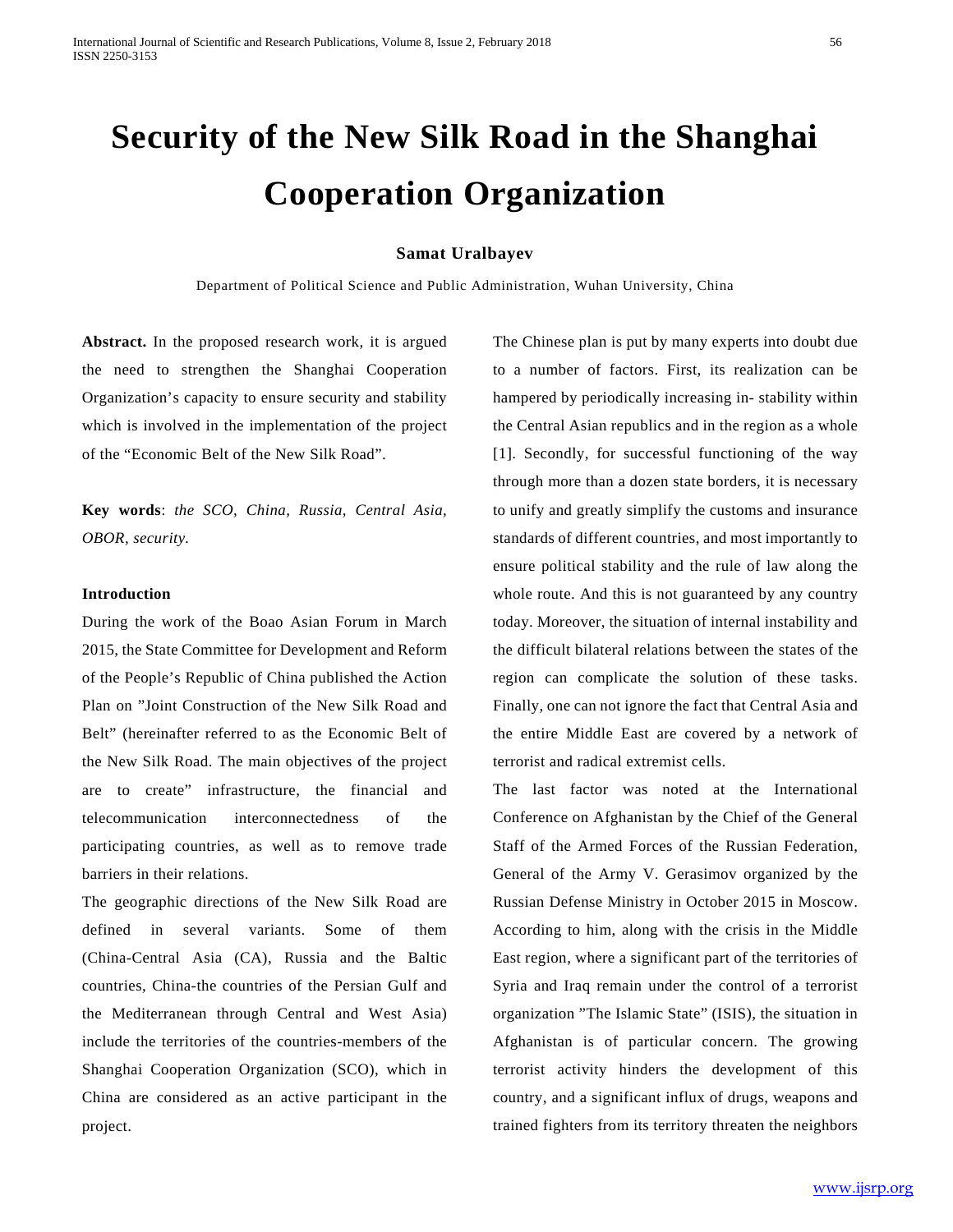# **Security of the New Silk Road in the Shanghai Cooperation Organization**

### **Samat Uralbayev**

Department of Political Science and Public Administration, Wuhan University, China

**Abstract.** In the proposed research work, it is argued the need to strengthen the Shanghai Cooperation Organization's capacity to ensure security and stability which is involved in the implementation of the project of the "Economic Belt of the New Silk Road".

**Key words**: *the SCO, China, Russia, Central Asia, OBOR, security.*

### **Introduction**

During the work of the Boao Asian Forum in March 2015, the State Committee for Development and Reform of the People's Republic of China published the Action Plan on "Joint Construction of the New Silk Road and Belt" (hereinafter referred to as the Economic Belt of the New Silk Road. The main objectives of the project are to create" infrastructure, the financial and telecommunication interconnectedness of the participating countries, as well as to remove trade barriers in their relations.

The geographic directions of the New Silk Road are defined in several variants. Some of them (China-Central Asia (CA), Russia and the Baltic countries, China-the countries of the Persian Gulf and the Mediterranean through Central and West Asia) include the territories of the countries-members of the Shanghai Cooperation Organization (SCO), which in China are considered as an active participant in the project.

The Chinese plan is put by many experts into doubt due to a number of factors. First, its realization can be hampered by periodically increasing in- stability within the Central Asian republics and in the region as a whole [1]. Secondly, for successful functioning of the way through more than a dozen state borders, it is necessary to unify and greatly simplify the customs and insurance standards of different countries, and most importantly to ensure political stability and the rule of law along the whole route. And this is not guaranteed by any country today. Moreover, the situation of internal instability and the difficult bilateral relations between the states of the region can complicate the solution of these tasks. Finally, one can not ignore the fact that Central Asia and the entire Middle East are covered by a network of terrorist and radical extremist cells.

The last factor was noted at the International Conference on Afghanistan by the Chief of the General Staff of the Armed Forces of the Russian Federation, General of the Army V. Gerasimov organized by the Russian Defense Ministry in October 2015 in Moscow. According to him, along with the crisis in the Middle East region, where a significant part of the territories of Syria and Iraq remain under the control of a terrorist organization "The Islamic State" (ISIS), the situation in Afghanistan is of particular concern. The growing terrorist activity hinders the development of this country, and a significant influx of drugs, weapons and trained fighters from its territory threaten the neighbors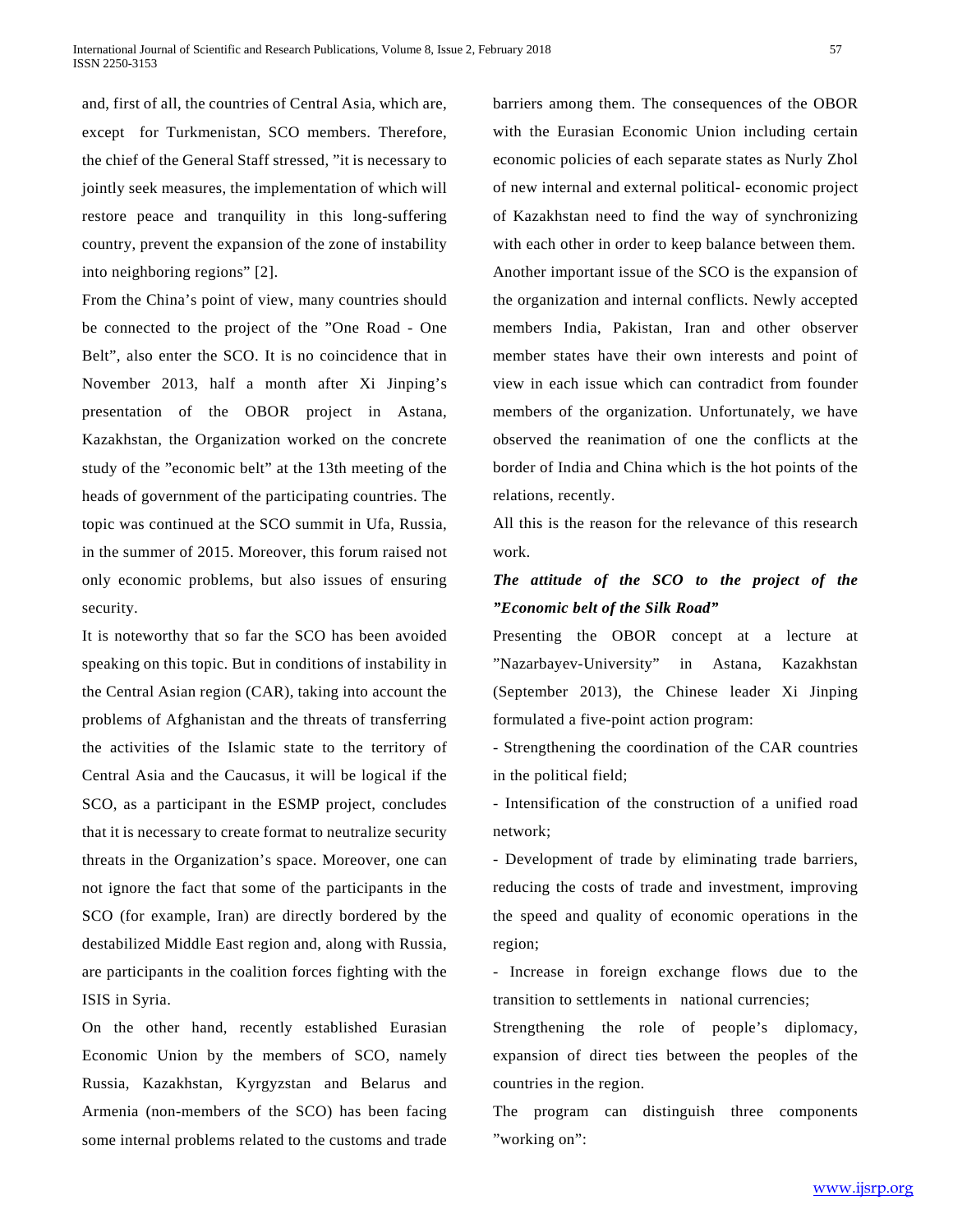and, first of all, the countries of Central Asia, which are, except for Turkmenistan, SCO members. Therefore, the chief of the General Staff stressed, "it is necessary to jointly seek measures, the implementation of which will restore peace and tranquility in this long-suffering country, prevent the expansion of the zone of instability into neighboring regions" [2].

From the China's point of view, many countries should be connected to the project of the "One Road - One Belt", also enter the SCO. It is no coincidence that in November 2013, half a month after Xi Jinping's presentation of the OBOR project in Astana, Kazakhstan, the Organization worked on the concrete study of the "economic belt" at the 13th meeting of the heads of government of the participating countries. The topic was continued at the SCO summit in Ufa, Russia, in the summer of 2015. Moreover, this forum raised not only economic problems, but also issues of ensuring security.

It is noteworthy that so far the SCO has been avoided speaking on this topic. But in conditions of instability in the Central Asian region (CAR), taking into account the problems of Afghanistan and the threats of transferring the activities of the Islamic state to the territory of Central Asia and the Caucasus, it will be logical if the SCO, as a participant in the ESMP project, concludes that it is necessary to create format to neutralize security threats in the Organization's space. Moreover, one can not ignore the fact that some of the participants in the SCO (for example, Iran) are directly bordered by the destabilized Middle East region and, along with Russia, are participants in the coalition forces fighting with the ISIS in Syria.

On the other hand, recently established Eurasian Economic Union by the members of SCO, namely Russia, Kazakhstan, Kyrgyzstan and Belarus and Armenia (non-members of the SCO) has been facing some internal problems related to the customs and trade

barriers among them. The consequences of the OBOR with the Eurasian Economic Union including certain economic policies of each separate states as Nurly Zhol of new internal and external political- economic project of Kazakhstan need to find the way of synchronizing with each other in order to keep balance between them. Another important issue of the SCO is the expansion of the organization and internal conflicts. Newly accepted members India, Pakistan, Iran and other observer member states have their own interests and point of view in each issue which can contradict from founder members of the organization. Unfortunately, we have observed the reanimation of one the conflicts at the border of India and China which is the hot points of the relations, recently.

All this is the reason for the relevance of this research work.

### *The attitude of the SCO to the project of the "Economic belt of the Silk Road"*

Presenting the OBOR concept at a lecture at "Nazarbayev-University" in Astana, Kazakhstan (September 2013), the Chinese leader Xi Jinping formulated a five-point action program:

- Strengthening the coordination of the CAR countries in the political field;

- Intensification of the construction of a unified road network;

- Development of trade by eliminating trade barriers, reducing the costs of trade and investment, improving the speed and quality of economic operations in the region;

- Increase in foreign exchange flows due to the transition to settlements in national currencies;

Strengthening the role of people's diplomacy, expansion of direct ties between the peoples of the countries in the region.

The program can distinguish three components "working on":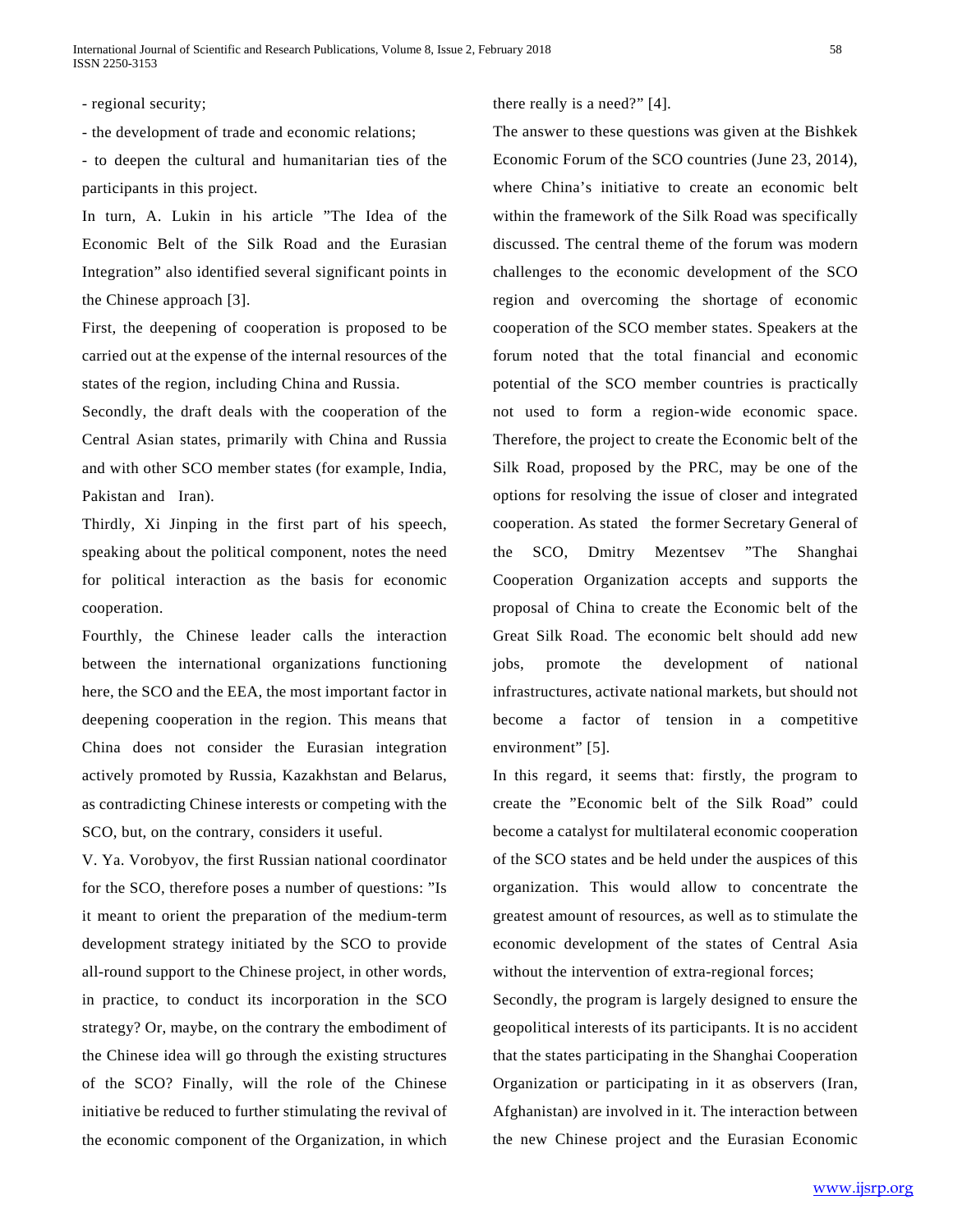- regional security;

- the development of trade and economic relations;

- to deepen the cultural and humanitarian ties of the participants in this project.

In turn, A. Lukin in his article "The Idea of the Economic Belt of the Silk Road and the Eurasian Integration" also identified several significant points in the Chinese approach [3].

First, the deepening of cooperation is proposed to be carried out at the expense of the internal resources of the states of the region, including China and Russia.

Secondly, the draft deals with the cooperation of the Central Asian states, primarily with China and Russia and with other SCO member states (for example, India, Pakistan and Iran).

Thirdly, Xi Jinping in the first part of his speech, speaking about the political component, notes the need for political interaction as the basis for economic cooperation.

Fourthly, the Chinese leader calls the interaction between the international organizations functioning here, the SCO and the EEA, the most important factor in deepening cooperation in the region. This means that China does not consider the Eurasian integration actively promoted by Russia, Kazakhstan and Belarus, as contradicting Chinese interests or competing with the SCO, but, on the contrary, considers it useful.

V. Ya. Vorobyov, the first Russian national coordinator for the SCO, therefore poses a number of questions: "Is it meant to orient the preparation of the medium-term development strategy initiated by the SCO to provide all-round support to the Chinese project, in other words, in practice, to conduct its incorporation in the SCO strategy? Or, maybe, on the contrary the embodiment of the Chinese idea will go through the existing structures of the SCO? Finally, will the role of the Chinese initiative be reduced to further stimulating the revival of the economic component of the Organization, in which

there really is a need?" [4].

The answer to these questions was given at the Bishkek Economic Forum of the SCO countries (June 23, 2014), where China's initiative to create an economic belt within the framework of the Silk Road was specifically discussed. The central theme of the forum was modern challenges to the economic development of the SCO region and overcoming the shortage of economic cooperation of the SCO member states. Speakers at the forum noted that the total financial and economic potential of the SCO member countries is practically not used to form a region-wide economic space. Therefore, the project to create the Economic belt of the Silk Road, proposed by the PRC, may be one of the options for resolving the issue of closer and integrated cooperation. As stated the former Secretary General of the SCO, Dmitry Mezentsev "The Shanghai Cooperation Organization accepts and supports the proposal of China to create the Economic belt of the Great Silk Road. The economic belt should add new jobs, promote the development of national infrastructures, activate national markets, but should not become a factor of tension in a competitive environment" [5].

In this regard, it seems that: firstly, the program to create the "Economic belt of the Silk Road" could become a catalyst for multilateral economic cooperation of the SCO states and be held under the auspices of this organization. This would allow to concentrate the greatest amount of resources, as well as to stimulate the economic development of the states of Central Asia without the intervention of extra-regional forces;

Secondly, the program is largely designed to ensure the geopolitical interests of its participants. It is no accident that the states participating in the Shanghai Cooperation Organization or participating in it as observers (Iran, Afghanistan) are involved in it. The interaction between the new Chinese project and the Eurasian Economic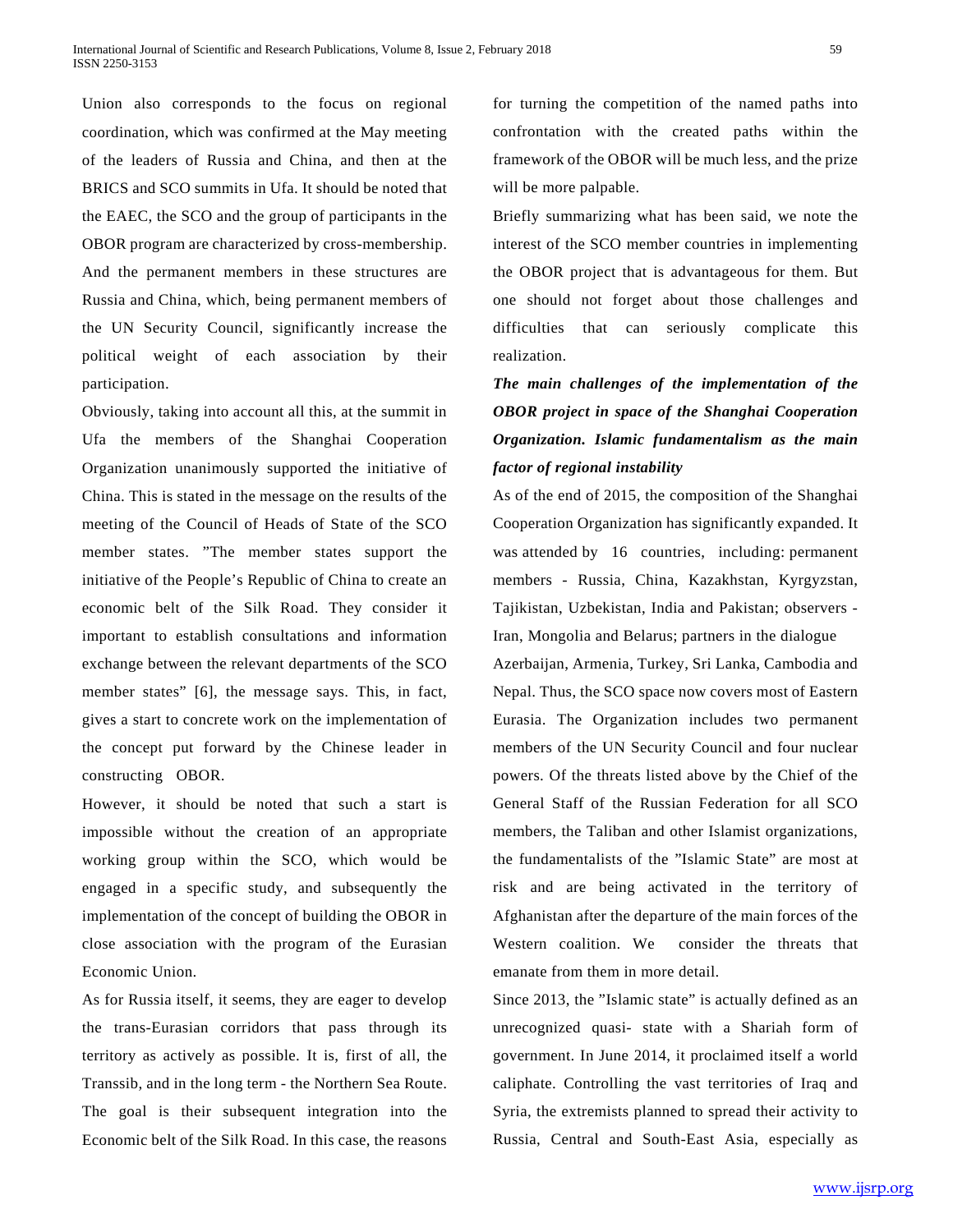Union also corresponds to the focus on regional coordination, which was confirmed at the May meeting of the leaders of Russia and China, and then at the BRICS and SCO summits in Ufa. It should be noted that the EAEC, the SCO and the group of participants in the OBOR program are characterized by cross-membership. And the permanent members in these structures are Russia and China, which, being permanent members of the UN Security Council, significantly increase the political weight of each association by their participation.

Obviously, taking into account all this, at the summit in Ufa the members of the Shanghai Cooperation Organization unanimously supported the initiative of China. This is stated in the message on the results of the meeting of the Council of Heads of State of the SCO member states. "The member states support the initiative of the People's Republic of China to create an economic belt of the Silk Road. They consider it important to establish consultations and information exchange between the relevant departments of the SCO member states" [6], the message says. This, in fact, gives a start to concrete work on the implementation of the concept put forward by the Chinese leader in constructing OBOR.

However, it should be noted that such a start is impossible without the creation of an appropriate working group within the SCO, which would be engaged in a specific study, and subsequently the implementation of the concept of building the OBOR in close association with the program of the Eurasian Economic Union.

As for Russia itself, it seems, they are eager to develop the trans-Eurasian corridors that pass through its territory as actively as possible. It is, first of all, the Transsib, and in the long term - the Northern Sea Route. The goal is their subsequent integration into the Economic belt of the Silk Road. In this case, the reasons

for turning the competition of the named paths into confrontation with the created paths within the framework of the OBOR will be much less, and the prize will be more palpable.

Briefly summarizing what has been said, we note the interest of the SCO member countries in implementing the OBOR project that is advantageous for them. But one should not forget about those challenges and difficulties that can seriously complicate this realization.

## *The main challenges of the implementation of the OBOR project in space of the Shanghai Cooperation Organization. Islamic fundamentalism as the main factor of regional instability*

As of the end of 2015, the composition of the Shanghai Cooperation Organization has significantly expanded. It was attended by 16 countries, including: permanent members - Russia, China, Kazakhstan, Kyrgyzstan, Tajikistan, Uzbekistan, India and Pakistan; observers - Iran, Mongolia and Belarus; partners in the dialogue

Azerbaijan, Armenia, Turkey, Sri Lanka, Cambodia and Nepal. Thus, the SCO space now covers most of Eastern Eurasia. The Organization includes two permanent members of the UN Security Council and four nuclear powers. Of the threats listed above by the Chief of the General Staff of the Russian Federation for all SCO members, the Taliban and other Islamist organizations, the fundamentalists of the "Islamic State" are most at risk and are being activated in the territory of Afghanistan after the departure of the main forces of the Western coalition. We consider the threats that emanate from them in more detail.

Since 2013, the "Islamic state" is actually defined as an unrecognized quasi- state with a Shariah form of government. In June 2014, it proclaimed itself a world caliphate. Controlling the vast territories of Iraq and Syria, the extremists planned to spread their activity to Russia, Central and South-East Asia, especially as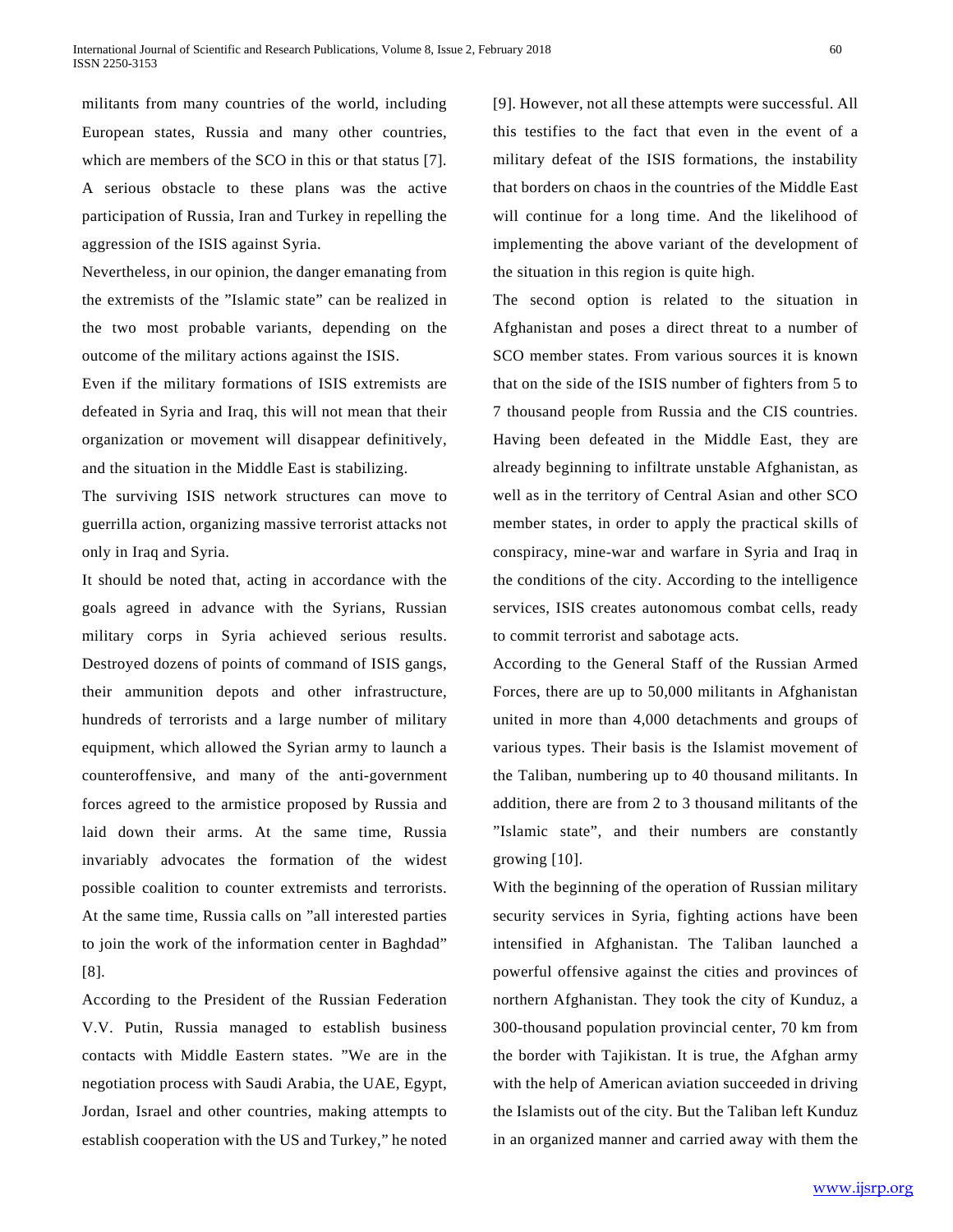militants from many countries of the world, including European states, Russia and many other countries, which are members of the SCO in this or that status [7]. A serious obstacle to these plans was the active participation of Russia, Iran and Turkey in repelling the aggression of the ISIS against Syria.

Nevertheless, in our opinion, the danger emanating from the extremists of the "Islamic state" can be realized in the two most probable variants, depending on the outcome of the military actions against the ISIS.

Even if the military formations of ISIS extremists are defeated in Syria and Iraq, this will not mean that their organization or movement will disappear definitively, and the situation in the Middle East is stabilizing.

The surviving ISIS network structures can move to guerrilla action, organizing massive terrorist attacks not only in Iraq and Syria.

It should be noted that, acting in accordance with the goals agreed in advance with the Syrians, Russian military corps in Syria achieved serious results. Destroyed dozens of points of command of ISIS gangs, their ammunition depots and other infrastructure, hundreds of terrorists and a large number of military equipment, which allowed the Syrian army to launch a counteroffensive, and many of the anti-government forces agreed to the armistice proposed by Russia and laid down their arms. At the same time, Russia invariably advocates the formation of the widest possible coalition to counter extremists and terrorists. At the same time, Russia calls on "all interested parties to join the work of the information center in Baghdad" [8].

According to the President of the Russian Federation V.V. Putin, Russia managed to establish business contacts with Middle Eastern states. "We are in the negotiation process with Saudi Arabia, the UAE, Egypt, Jordan, Israel and other countries, making attempts to establish cooperation with the US and Turkey," he noted [9]. However, not all these attempts were successful. All this testifies to the fact that even in the event of a military defeat of the ISIS formations, the instability that borders on chaos in the countries of the Middle East will continue for a long time. And the likelihood of implementing the above variant of the development of the situation in this region is quite high.

The second option is related to the situation in Afghanistan and poses a direct threat to a number of SCO member states. From various sources it is known that on the side of the ISIS number of fighters from 5 to 7 thousand people from Russia and the CIS countries. Having been defeated in the Middle East, they are already beginning to infiltrate unstable Afghanistan, as well as in the territory of Central Asian and other SCO member states, in order to apply the practical skills of conspiracy, mine-war and warfare in Syria and Iraq in the conditions of the city. According to the intelligence services, ISIS creates autonomous combat cells, ready to commit terrorist and sabotage acts.

According to the General Staff of the Russian Armed Forces, there are up to 50,000 militants in Afghanistan united in more than 4,000 detachments and groups of various types. Their basis is the Islamist movement of the Taliban, numbering up to 40 thousand militants. In addition, there are from 2 to 3 thousand militants of the "Islamic state", and their numbers are constantly growing [10].

With the beginning of the operation of Russian military security services in Syria, fighting actions have been intensified in Afghanistan. The Taliban launched a powerful offensive against the cities and provinces of northern Afghanistan. They took the city of Kunduz, a 300-thousand population provincial center, 70 km from the border with Tajikistan. It is true, the Afghan army with the help of American aviation succeeded in driving the Islamists out of the city. But the Taliban left Kunduz in an organized manner and carried away with them the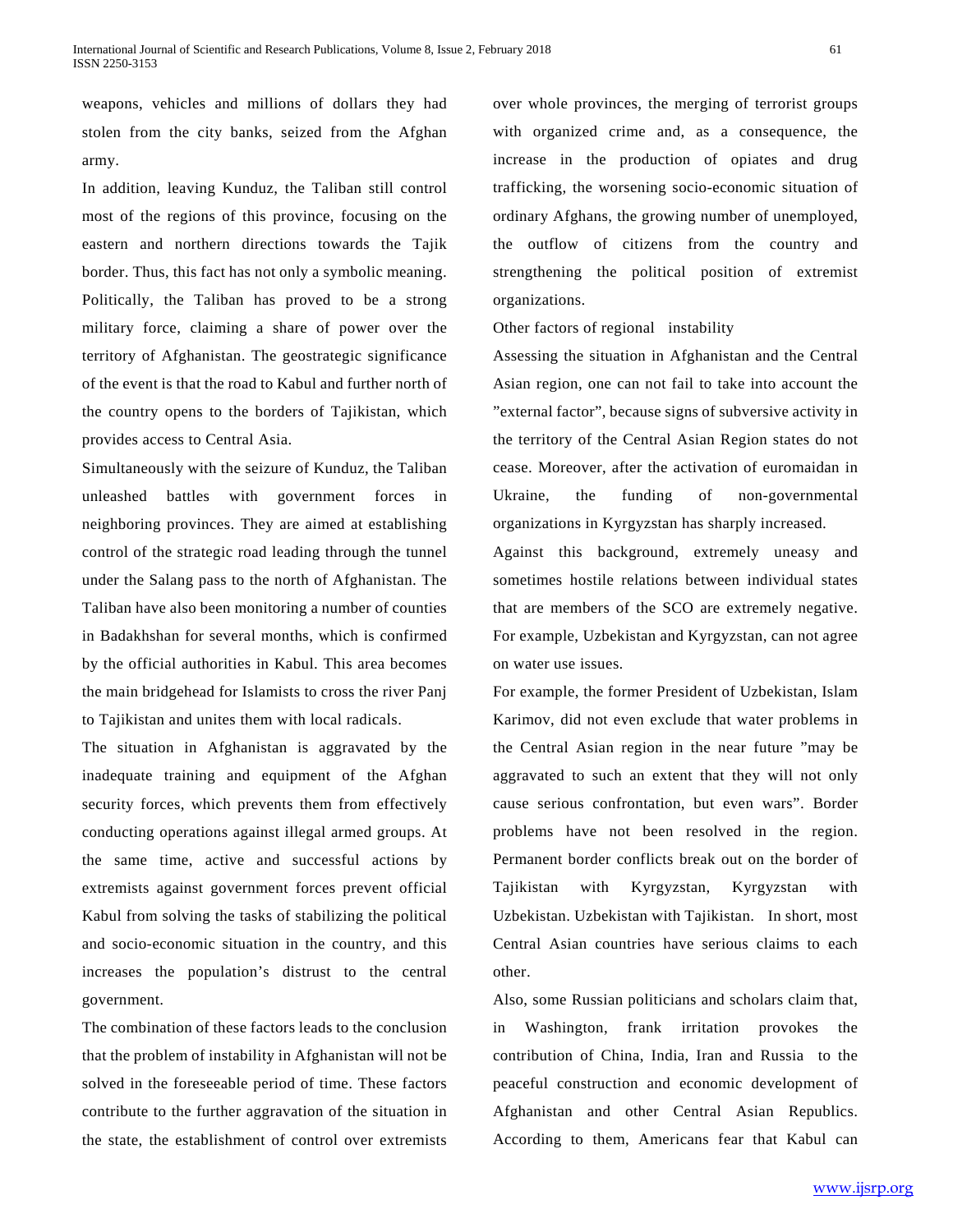weapons, vehicles and millions of dollars they had stolen from the city banks, seized from the Afghan army.

In addition, leaving Kunduz, the Taliban still control most of the regions of this province, focusing on the eastern and northern directions towards the Tajik border. Thus, this fact has not only a symbolic meaning. Politically, the Taliban has proved to be a strong military force, claiming a share of power over the territory of Afghanistan. The geostrategic significance of the event is that the road to Kabul and further north of the country opens to the borders of Tajikistan, which provides access to Central Asia.

Simultaneously with the seizure of Kunduz, the Taliban unleashed battles with government forces in neighboring provinces. They are aimed at establishing control of the strategic road leading through the tunnel under the Salang pass to the north of Afghanistan. The Taliban have also been monitoring a number of counties in Badakhshan for several months, which is confirmed by the official authorities in Kabul. This area becomes the main bridgehead for Islamists to cross the river Panj to Tajikistan and unites them with local radicals.

The situation in Afghanistan is aggravated by the inadequate training and equipment of the Afghan security forces, which prevents them from effectively conducting operations against illegal armed groups. At the same time, active and successful actions by extremists against government forces prevent official Kabul from solving the tasks of stabilizing the political and socio-economic situation in the country, and this increases the population's distrust to the central government.

The combination of these factors leads to the conclusion that the problem of instability in Afghanistan will not be solved in the foreseeable period of time. These factors contribute to the further aggravation of the situation in the state, the establishment of control over extremists

over whole provinces, the merging of terrorist groups with organized crime and, as a consequence, the increase in the production of opiates and drug trafficking, the worsening socio-economic situation of ordinary Afghans, the growing number of unemployed, the outflow of citizens from the country and strengthening the political position of extremist organizations.

Other factors of regional instability

Assessing the situation in Afghanistan and the Central Asian region, one can not fail to take into account the "external factor", because signs of subversive activity in the territory of the Central Asian Region states do not cease. Moreover, after the activation of euromaidan in Ukraine, the funding of non-governmental organizations in Kyrgyzstan has sharply increased.

Against this background, extremely uneasy and sometimes hostile relations between individual states that are members of the SCO are extremely negative. For example, Uzbekistan and Kyrgyzstan, can not agree on water use issues.

For example, the former President of Uzbekistan, Islam Karimov, did not even exclude that water problems in the Central Asian region in the near future "may be aggravated to such an extent that they will not only cause serious confrontation, but even wars". Border problems have not been resolved in the region. Permanent border conflicts break out on the border of Tajikistan with Kyrgyzstan, Kyrgyzstan with Uzbekistan. Uzbekistan with Tajikistan. In short, most Central Asian countries have serious claims to each other.

Also, some Russian politicians and scholars claim that, in Washington, frank irritation provokes the contribution of China, India, Iran and Russia to the peaceful construction and economic development of Afghanistan and other Central Asian Republics. According to them, Americans fear that Kabul can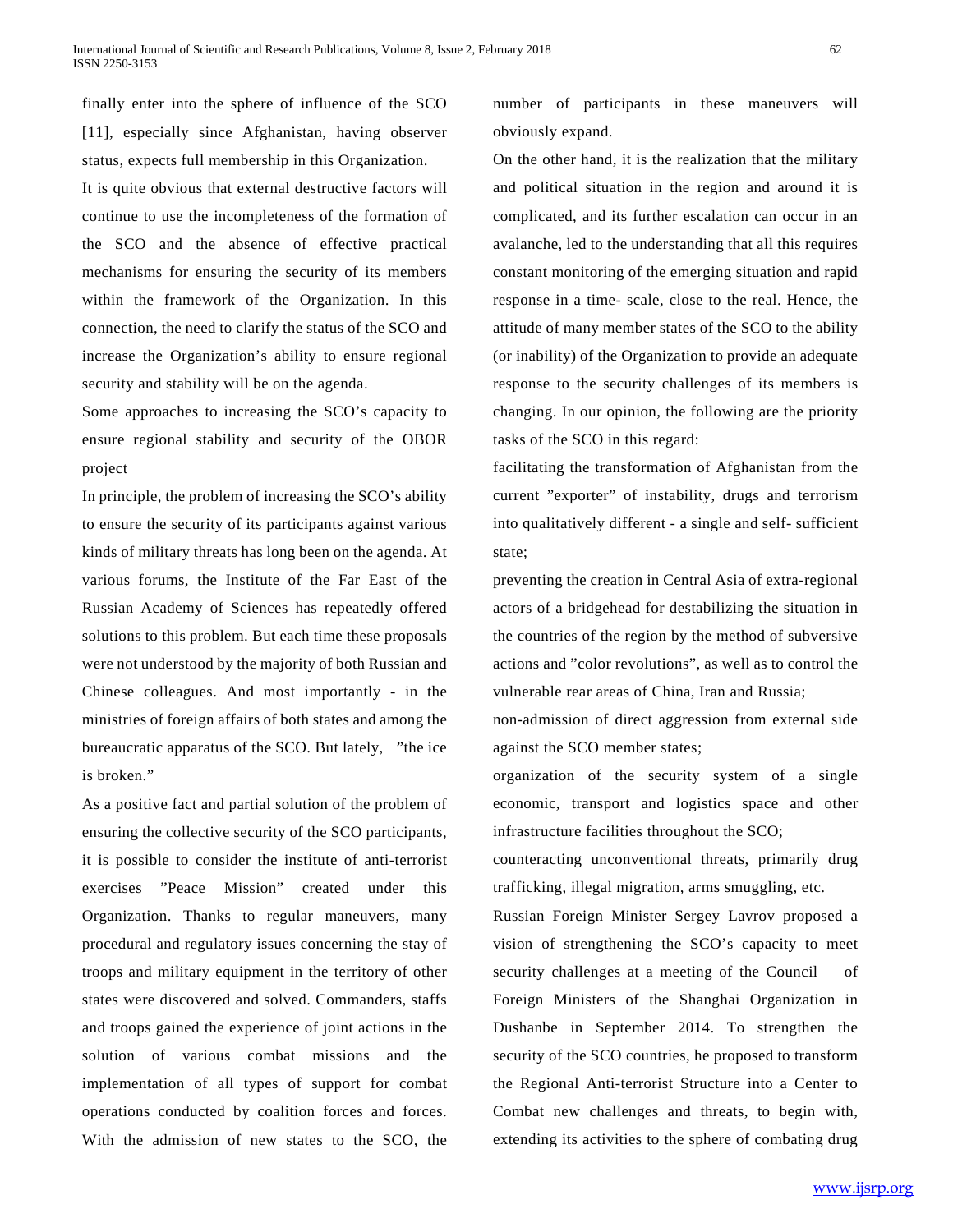finally enter into the sphere of influence of the SCO [11], especially since Afghanistan, having observer status, expects full membership in this Organization. It is quite obvious that external destructive factors will continue to use the incompleteness of the formation of the SCO and the absence of effective practical mechanisms for ensuring the security of its members within the framework of the Organization. In this connection, the need to clarify the status of the SCO and increase the Organization's ability to ensure regional security and stability will be on the agenda.

Some approaches to increasing the SCO's capacity to ensure regional stability and security of the OBOR project

In principle, the problem of increasing the SCO's ability to ensure the security of its participants against various kinds of military threats has long been on the agenda. At various forums, the Institute of the Far East of the Russian Academy of Sciences has repeatedly offered solutions to this problem. But each time these proposals were not understood by the majority of both Russian and Chinese colleagues. And most importantly - in the ministries of foreign affairs of both states and among the bureaucratic apparatus of the SCO. But lately, "the ice is broken."

As a positive fact and partial solution of the problem of ensuring the collective security of the SCO participants, it is possible to consider the institute of anti-terrorist exercises "Peace Mission" created under this Organization. Thanks to regular maneuvers, many procedural and regulatory issues concerning the stay of troops and military equipment in the territory of other states were discovered and solved. Commanders, staffs and troops gained the experience of joint actions in the solution of various combat missions and the implementation of all types of support for combat operations conducted by coalition forces and forces. With the admission of new states to the SCO, the

number of participants in these maneuvers will obviously expand.

On the other hand, it is the realization that the military and political situation in the region and around it is complicated, and its further escalation can occur in an avalanche, led to the understanding that all this requires constant monitoring of the emerging situation and rapid response in a time- scale, close to the real. Hence, the attitude of many member states of the SCO to the ability (or inability) of the Organization to provide an adequate response to the security challenges of its members is changing. In our opinion, the following are the priority tasks of the SCO in this regard:

facilitating the transformation of Afghanistan from the current "exporter" of instability, drugs and terrorism into qualitatively different - a single and self- sufficient state;

preventing the creation in Central Asia of extra-regional actors of a bridgehead for destabilizing the situation in the countries of the region by the method of subversive actions and "color revolutions", as well as to control the vulnerable rear areas of China, Iran and Russia;

non-admission of direct aggression from external side against the SCO member states;

organization of the security system of a single economic, transport and logistics space and other infrastructure facilities throughout the SCO;

counteracting unconventional threats, primarily drug trafficking, illegal migration, arms smuggling, etc.

Russian Foreign Minister Sergey Lavrov proposed a vision of strengthening the SCO's capacity to meet security challenges at a meeting of the Council of Foreign Ministers of the Shanghai Organization in Dushanbe in September 2014. To strengthen the security of the SCO countries, he proposed to transform the Regional Anti-terrorist Structure into a Center to Combat new challenges and threats, to begin with, extending its activities to the sphere of combating drug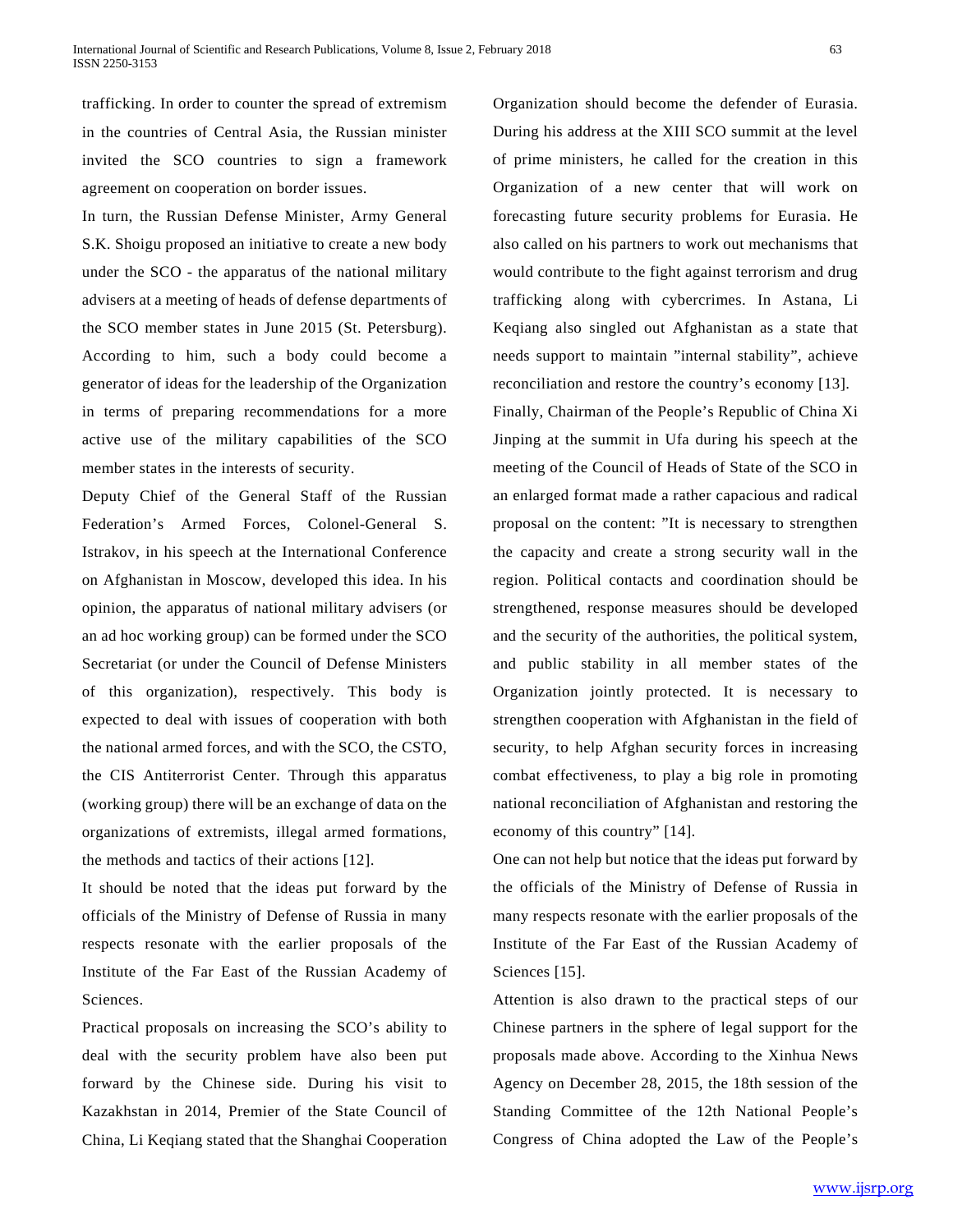trafficking. In order to counter the spread of extremism in the countries of Central Asia, the Russian minister invited the SCO countries to sign a framework agreement on cooperation on border issues.

In turn, the Russian Defense Minister, Army General S.K. Shoigu proposed an initiative to create a new body under the SCO - the apparatus of the national military advisers at a meeting of heads of defense departments of the SCO member states in June 2015 (St. Petersburg). According to him, such a body could become a generator of ideas for the leadership of the Organization in terms of preparing recommendations for a more active use of the military capabilities of the SCO member states in the interests of security.

Deputy Chief of the General Staff of the Russian Federation's Armed Forces, Colonel-General S. Istrakov, in his speech at the International Conference on Afghanistan in Moscow, developed this idea. In his opinion, the apparatus of national military advisers (or an ad hoc working group) can be formed under the SCO Secretariat (or under the Council of Defense Ministers of this organization), respectively. This body is expected to deal with issues of cooperation with both the national armed forces, and with the SCO, the CSTO, the CIS Antiterrorist Center. Through this apparatus (working group) there will be an exchange of data on the organizations of extremists, illegal armed formations, the methods and tactics of their actions [12].

It should be noted that the ideas put forward by the officials of the Ministry of Defense of Russia in many respects resonate with the earlier proposals of the Institute of the Far East of the Russian Academy of Sciences.

Practical proposals on increasing the SCO's ability to deal with the security problem have also been put forward by the Chinese side. During his visit to Kazakhstan in 2014, Premier of the State Council of China, Li Keqiang stated that the Shanghai Cooperation

Organization should become the defender of Eurasia. During his address at the XIII SCO summit at the level of prime ministers, he called for the creation in this Organization of a new center that will work on forecasting future security problems for Eurasia. He also called on his partners to work out mechanisms that would contribute to the fight against terrorism and drug trafficking along with cybercrimes. In Astana, Li Keqiang also singled out Afghanistan as a state that needs support to maintain "internal stability", achieve reconciliation and restore the country's economy [13]. Finally, Chairman of the People's Republic of China Xi Jinping at the summit in Ufa during his speech at the meeting of the Council of Heads of State of the SCO in an enlarged format made a rather capacious and radical proposal on the content: "It is necessary to strengthen the capacity and create a strong security wall in the region. Political contacts and coordination should be strengthened, response measures should be developed and the security of the authorities, the political system, and public stability in all member states of the Organization jointly protected. It is necessary to strengthen cooperation with Afghanistan in the field of security, to help Afghan security forces in increasing combat effectiveness, to play a big role in promoting national reconciliation of Afghanistan and restoring the economy of this country" [14].

One can not help but notice that the ideas put forward by the officials of the Ministry of Defense of Russia in many respects resonate with the earlier proposals of the Institute of the Far East of the Russian Academy of Sciences [15].

Attention is also drawn to the practical steps of our Chinese partners in the sphere of legal support for the proposals made above. According to the Xinhua News Agency on December 28, 2015, the 18th session of the Standing Committee of the 12th National People's Congress of China adopted the Law of the People's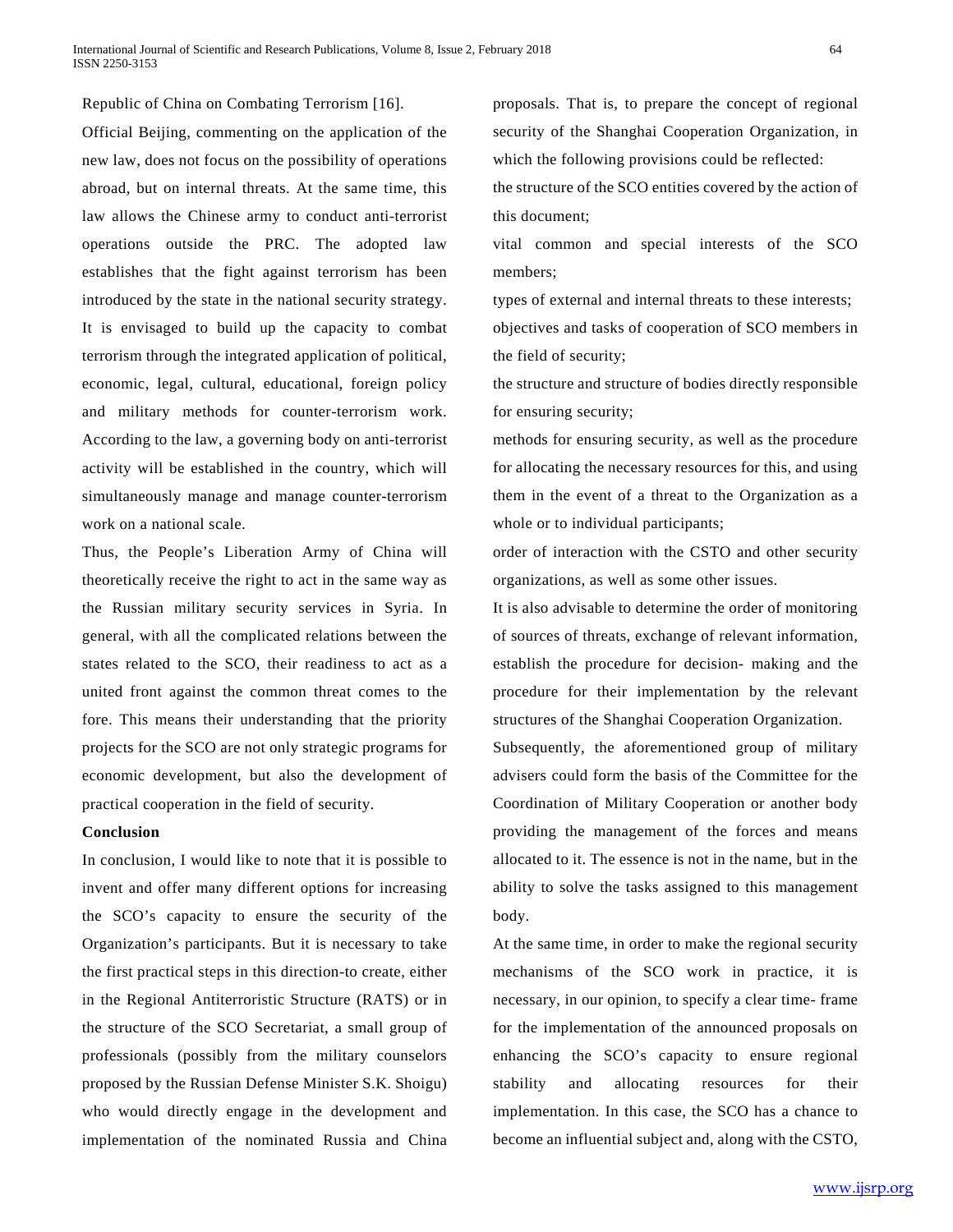Republic of China on Combating Terrorism [16].

Official Beijing, commenting on the application of the new law, does not focus on the possibility of operations abroad, but on internal threats. At the same time, this law allows the Chinese army to conduct anti-terrorist operations outside the PRC. The adopted law establishes that the fight against terrorism has been introduced by the state in the national security strategy. It is envisaged to build up the capacity to combat terrorism through the integrated application of political, economic, legal, cultural, educational, foreign policy and military methods for counter-terrorism work. According to the law, a governing body on anti-terrorist activity will be established in the country, which will simultaneously manage and manage counter-terrorism work on a national scale.

Thus, the People's Liberation Army of China will theoretically receive the right to act in the same way as the Russian military security services in Syria. In general, with all the complicated relations between the states related to the SCO, their readiness to act as a united front against the common threat comes to the fore. This means their understanding that the priority projects for the SCO are not only strategic programs for economic development, but also the development of practical cooperation in the field of security.

### **Conclusion**

In conclusion, I would like to note that it is possible to invent and offer many different options for increasing the SCO's capacity to ensure the security of the Organization's participants. But it is necessary to take the first practical steps in this direction-to create, either in the Regional Antiterroristic Structure (RATS) or in the structure of the SCO Secretariat, a small group of professionals (possibly from the military counselors proposed by the Russian Defense Minister S.K. Shoigu) who would directly engage in the development and implementation of the nominated Russia and China

proposals. That is, to prepare the concept of regional security of the Shanghai Cooperation Organization, in which the following provisions could be reflected:

the structure of the SCO entities covered by the action of this document;

vital common and special interests of the SCO members;

types of external and internal threats to these interests; objectives and tasks of cooperation of SCO members in the field of security;

the structure and structure of bodies directly responsible for ensuring security;

methods for ensuring security, as well as the procedure for allocating the necessary resources for this, and using them in the event of a threat to the Organization as a whole or to individual participants;

order of interaction with the CSTO and other security organizations, as well as some other issues.

It is also advisable to determine the order of monitoring of sources of threats, exchange of relevant information, establish the procedure for decision- making and the procedure for their implementation by the relevant structures of the Shanghai Cooperation Organization.

Subsequently, the aforementioned group of military advisers could form the basis of the Committee for the Coordination of Military Cooperation or another body providing the management of the forces and means allocated to it. The essence is not in the name, but in the ability to solve the tasks assigned to this management body.

At the same time, in order to make the regional security mechanisms of the SCO work in practice, it is necessary, in our opinion, to specify a clear time- frame for the implementation of the announced proposals on enhancing the SCO's capacity to ensure regional stability and allocating resources for their implementation. In this case, the SCO has a chance to become an influential subject and, along with the CSTO,